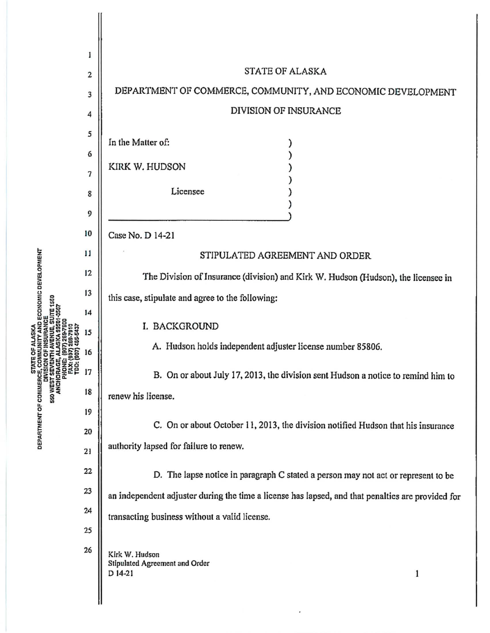| ECONOMIC DEVELOPMENT<br><b>DEPARTMENT OF COMMERCE,</b><br>DEPARTMENT OF COMMERCE,<br>DIVI:<br>SSO WEST SE<br>ANCHOR | 1<br>$\overline{\mathbf{c}}$ | <b>STATE OF ALASKA</b>                                                                            |
|---------------------------------------------------------------------------------------------------------------------|------------------------------|---------------------------------------------------------------------------------------------------|
|                                                                                                                     | 3                            | DEPARTMENT OF COMMERCE, COMMUNITY, AND ECONOMIC DEVELOPMENT                                       |
|                                                                                                                     | 4                            | DIVISION OF INSURANCE                                                                             |
|                                                                                                                     | 5                            |                                                                                                   |
|                                                                                                                     | 6                            | In the Matter of:                                                                                 |
|                                                                                                                     | 7                            | KIRK W. HUDSON                                                                                    |
|                                                                                                                     | 8                            | Licensee                                                                                          |
|                                                                                                                     | 9                            |                                                                                                   |
|                                                                                                                     | 10                           | Case No. D 14-21                                                                                  |
|                                                                                                                     | 11                           | STIPULATED AGREEMENT AND ORDER                                                                    |
|                                                                                                                     | 12                           | The Division of Insurance (division) and Kirk W. Hudson (Hudson), the licensee in                 |
|                                                                                                                     | 13                           |                                                                                                   |
|                                                                                                                     | 14                           | this case, stipulate and agree to the following:                                                  |
|                                                                                                                     | 15                           | I. BACKGROUND                                                                                     |
|                                                                                                                     | 16                           | A. Hudson holds independent adjuster license number 85806.                                        |
|                                                                                                                     | 17                           | B. On or about July 17, 2013, the division sent Hudson a notice to remind him to                  |
|                                                                                                                     | 18                           | renew his license.                                                                                |
|                                                                                                                     | 19                           |                                                                                                   |
|                                                                                                                     | 20                           | C. On or about October 11, 2013, the division notified Hudson that his insurance                  |
|                                                                                                                     | 21                           | authority lapsed for failure to renew.                                                            |
|                                                                                                                     | 22                           | D. The lapse notice in paragraph C stated a person may not act or represent to be                 |
|                                                                                                                     | 23                           | an independent adjuster during the time a license has lapsed, and that penalties are provided for |
|                                                                                                                     | 24                           | transacting business without a valid license.                                                     |
|                                                                                                                     | 25                           |                                                                                                   |
|                                                                                                                     | 26                           | Kirk W. Hudson<br>Stipulated Agreement and Order<br>D 14-21<br>1                                  |

 $\epsilon$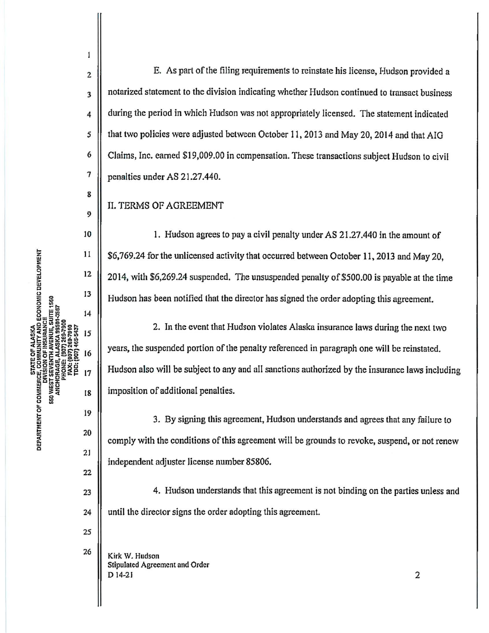2  $\parallel$  E. As part of the filing requirements to reinstate his license, Hudson provided a  $3 \parallel$  notarized statement to the division indicating whether Hudson continued to transact business  $\vert 4 \vert$  during the period in which Hudson was not appropriately licensed. The statement indicated 5 | that two policies were adjusted between October 11, 2013 and May 20, 2014 and that AIG 6 Claims, Inc. earned \$19,009.00 in compensation. These transactions subject Hudson to civil  $7 \parallel$  penalties under AS 21.27.440.

## II. TERMS OF AGREEMENT

10 1. Hudson agrees to pay a civil penalty under AS 21.27.440 in the amount of \$6, 769 .24 for the unlicensed activity that occurred between October 11, 2013 and May 20, 2014, with \$6,269.24 suspended. The unsuspended penalty of \$500.00 is payable at the time Hudson has been notified that the director has signed the order adopting this agreement.

2. In the event that Hudson violates Alaska insurance laws during the next two years, the suspended portion of the penalty referenced in paragraph one will be reinstated. Hudson also will be subject to any and all sanctions authorized by the insurance laws including imposition of additional penalties.

3. By signing this agreement, Hudson understands and agrees that any failure to comply *with* the conditions of this agreement will be grounds to revoke, suspend, or not renew independent adjuster license number 85806.

 $_{23}$  || 4. Hudson understands that this agreement is not binding on the parties unless and 24 | until the director signs the order adopting this agreement.

 $26$  Kirk W. Hudson Stipulated Agreement and Order  $D$  14-21 2

8

 $\mathbf{1}$ 

9

22

25